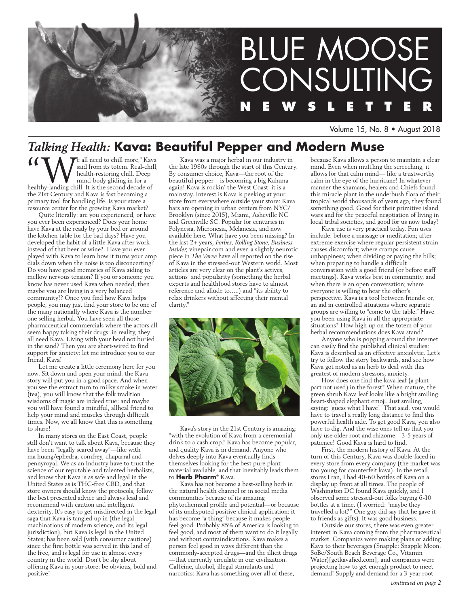

Volume 15, No. 8 • August 2018

# *Talking Health:* **Kava: Beautiful Pepper and Modern Muse**

**f**  $\left\{\bigvee_{\text{said from its token. Real-chill;}\atop{\text{health-restoring child. Deep mind-body gliding in for a health-landing chill. It is the second decade of the second decade.} \right\}$ said from its totem. Real-chill; health-restoring chill. Deep mind-body gliding in for a the 21st Century and Kava is fast becoming a primary tool for handling life. Is your store a resource center for the growing Kava market?

Quite literally: are you experienced, or have you ever been experienced? Does your home have Kava at the ready by your bed or around the kitchen table for the bad days? Have you developed the habit of a little Kava after work instead of that beer or wine? Have you ever played with Kava to learn how it turns your amp dials down when the noise is too disconcerting? Do you have good memories of Kava aiding to mellow nervous tension? If you or someone you know has never used Kava when needed, then maybe you are living in a very balanced community!? Once you find how Kava helps people, you may just find your store to be one of the many nationally where Kava is the number one selling herbal. You have seen all those pharmaceutical commercials where the actors all seem happy taking their drugs: in reality, they all need Kava. Living with your head not buried in the sand? Then you are short-wired to find support for anxiety: let me introduce you to our friend, Kava!

Let me create a little ceremony here for you now. Sit down and open your mind: the Kava story will put you in a good space. And when you see the extract turn to milky smoke in water (tea), you will know that the folk tradition wisdoms of magic are indeed true; and maybe you will have found a mindful, allheal friend to help your mind and muscles through difficult times. Now, we all know that this is something to share!

In many stores on the East Coast, people still don't want to talk about Kava, because they have been "legally scared away"—like with ma huang/ephedra, comfrey, chaparral and pennyroyal. We as an Industry have to trust the science of our reputable and talented herbalists, and know that Kava is as safe and legal in the United States as is THC-free CBD, and that store owners should know the protocols, follow the best presented advice and always lead and recommend with caution and intelligent dexterity. It's easy to get misdirected in the legal saga that Kava is tangled up in (the legal machinations of modern science, and its legal jurisdiction), but Kava is legal in the United States; has been sold (with consumer cautions) since the first bottle was served in this land of the free, and is legal for use in almost every country in the world. Don't be shy about offering Kava in your store: be obvious, bold and positive!

Kava was a major herbal in our industry in the late 1980s through the start of this Century. By consumer choice, Kava—the root of the beautiful pepper—is becoming a big Kahuna again! Kava is rockin' the West Coast: it is a mainstay. Interest is Kava is peeking at your store from everywhere outside your store: Kava bars are opening in urban centers from NYC/ Brooklyn (since 2015), Miami, Asheville NC and Greenville SC. Popular for centuries in Polynesia, Micronesia, Melanesia, and now available here. What have you been missing? In the last 2+ years, *Forbes, Rolling Stone, Business Insider*, vinepair.com and even a slightly neurotic piece in *The Verve* have all reported on the rise of Kava in the stressed-out Western world. Most articles are very clear on the plant's actives, actions and popularity (something the herbal experts and healthfood stores have to almost reference and allude to…..) and "its ability to relax drinkers without affecting their mental clarity."



Kava's story in the 21st Century is amazing: "with the evolution of Kava from a ceremonial drink to a cash crop." Kava has become popular, and quality Kava is in demand. Anyone who delves deeply into Kava eventually finds themselves looking for the best pure plant material available, and that inevitably leads them to **Herb Pharm**® Kava.

Kava has not become a best-selling herb in the natural health channel or in social media communities because of its amazing phytochemical profile and potential—or because of its undisputed positive clinical application: it has become "a thing" because it makes people feel good. Probably 85% of America is looking to feel good, and most of them want to do it legally and without contraindications. Kava makes a person feel good in ways different than the commonly-accepted drugs—and the illicit drugs —that currently circulate in our civilization. Caffeine, alcohol, illegal stimulants and narcotics: Kava has something over all of these,

because Kava allows a person to maintain a clear mind. Even when muffling the screeching, it allows for that calm mind— like a trustworthy calm in the eye of the hurricane! In whatever manner the shamans, healers and Chiefs found this miracle plant in the underbush flora of their tropical world thousands of years ago, they found something good. Good for their primitive island wars and for the peaceful negotiation of living in local tribal societies, and good for us now today!

Kava use is very practical today. Fun uses include: before a massage or meditation; after extreme exercise where regular persistent strain causes discomfort; where cramps cause unhappiness; when dividing or paying the bills; when preparing to handle a difficult conversation with a good friend (or before staff meetings). Kava works best in community, and when there is an open conversation; where everyone is willing to hear the other's perspective. Kava is a tool between friends: or, an aid in controlled situations where separate groups are willing to "come to the table." Have you been using Kava in all the appropriate situations? How high up on the totem of your herbal recommendations does Kava stand?

Anyone who is popping around the internet can easily find the published clinical studies: Kava is described as an effective anxiolytic. Let's try to follow the story backwards, and see how Kava got noted as an herb to deal with this greatest of modern stressors, anxiety.

How does one find the kava leaf (a plant part not used) in the forest? When mature, the green shrub Kava leaf looks like a bright smiling heart-shaped elephant emoji. Just smiling, saying: 'guess what I have!' That said, you would have to travel a really long distance to find this powerful health aide. To get good Kava, you also have to dig. And the wise ones tell us that you only use older root and rhizome – 3-5 years of patience! Good Kava is hard to find.

First, the modern history of Kava. At the turn of this Century, Kava was double-faced in every store from every company (the market was too young for counterfeit kava). In the retail stores I ran, I had 40-60 bottles of Kava on a display up front at all times. The people of Washington DC found Kava quickly, and I observed some stressed-out folks buying 6-10 bottles at a time. (I worried: "maybe they travelled a lot?" One guy did say that he gave it to friends as gifts). It was good business.

Outside our stores, there was even greater interest in Kava coming from the pharmaceutical market. Companies were making plans or adding Kava to their beverages (Snapple: Snapple Moon, SoBe/South Beach Beverage Co., Vitamin Water)[getkavafied.com], and companies were projecting how to get enough product to meet demand! Supply and demand for a 3-year root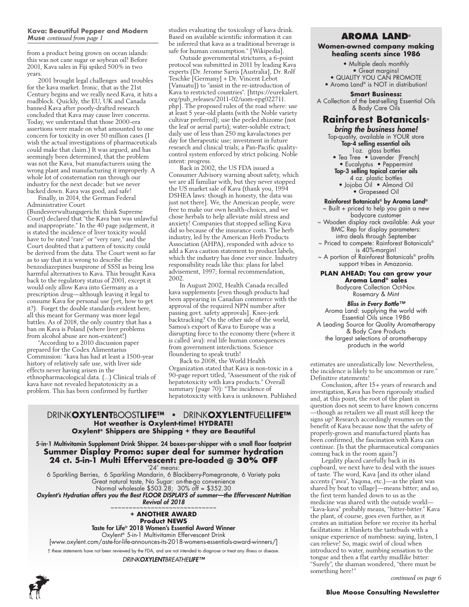#### **Kava: Beautiful Pepper and Modern Muse** *continued from page 1*

from a product being grown on ocean islands: this was not cane sugar or soybean oil! Before 2001, Kava sales in Fiji spiked 500% in two years.

2001 brought legal challenges and troubles for the kava market. Ironic, that as the 21st Century begins and we really need Kava, it hits a roadblock. Quickly, the EU, UK and Canada banned Kava after poorly-drafted research concluded that Kava may cause liver concerns. Today, we understand that those 2000-era assertions were made on what amounted to one concern for toxicity in over 50 million cases (I wish the actual investigations of pharmaceuticals could make that claim.) It was argued, and has seemingly been determined, that the problem was not the Kava, but manufacturers using the wrong plant and manufacturing it improperly. A whole lot of consternation ran through our industry for the next decade: but we never backed down. Kava was good, and safe!

Finally, in 2014, the German Federal Administrative Court

(Bundesverwaltungsgericht: think Supreme Court) declared that "the Kava ban was unlawful and inappropriate." In the 40 page judgement, it is stated the incidence of liver toxicity would have to be rated "rare" or "very rare," and the Court doubted that a pattern of toxicity could be derived from the data. The Court went so far as to say that it is wrong to describe the benzodiazepines buspirone of SSSI as being less harmful alternatives to Kava. This brought Kava back to the regulatory status of 2001, except it would only allow Kava into Germany as a prescription drug—although leaving it legal to consume Kava for personal use (yet, how to get it?). Forget the double standards evident here, all this meant for Germany was more legal battles. As of 2018, the only country that has a ban on Kava is Poland (where liver problems from alcohol abuse are non-existent!)

"According to a 2010 discussion paper prepared for the Codex Alimentarius Commission: "kava has had at least a 1500-year history of relatively safe use, with liver side effects never having arisen in the ethnopharmacological data. (...) Clinical trials of kava have not revealed hepatotoxicity as a problem. This has been confirmed by further

studies evaluating the toxicology of kava drink. Based on available scientific information it can be inferred that kava as a traditional beverage is safe for human consumption." [Wikipedia].

Outside governmental strictures, a 6-point protocol was submitted in 2011 by leading Kava experts (Dr. Jerome Sarris [Australia], Dr. Rolf Teschke [Germany] + Dr. Vincent Lebot [Vanuatu]) to "assist in the re-introduction of Kava to restricted countries". [https://eurekalert. org/pub\_releases/2011-02/uom-epg022711. php]. The proposed rules of the road where: use at least 5 year-old plants (with the Noble variety cultivar preferred); use the peeled rhizome (not the leaf or aerial parts); water-soluble extract; daily use of less than 250 mg kavalactones per day for therapeutic use; investment in future research and clinical trials; a Pan-Pacific qualitycontrol system enforced by strict policing. Noble intent: progress.

Back in 2002, the US FDA issued a Consumer Advisory warning about safety, which we are all familiar with, but they never stopped the US market sale of Kava (thank you, 1994 DSHEA laws: though in honesty, the data was just not there]. We, the American people, were free to make our own health-choices, and we chose herbals to help alleviate mild stress and anxiety! Companies that stopped selling Kava did so because of the insurance costs. The herb industry, led by the American Herb Products Association (AHPA), responded with advice to add a Kava caution statement to product labels, which the industry has done ever since. Industry responsibility reads like this: plans for label advisement, 1997; formal recommendation, 2002.

In August 2002, Health Canada recalled kava supplements [even though products had been appearing in Canadian commerce with the approval of the required NPN number after passing govt. safety approvals]. Knee-jerk backtracking? On the other side of the world, Samoa's export of Kava to Europe was a disrupting force to the economy there (where it is called 'ava): real life human consequences from government interdictions. Science floundering to speak truth!

Back to 2008, the World Health Organization stated that Kava is non-toxic in a 90-page report titled, "Assessment of the risk of hepatotoxicity with kava products." Overall summary (page 70): "The incidence of hepatotoxicity with kava is unknown. Published

# DRINK**OXYLENT**BOOST**LIFE™ •** DRINK**OXYLENT**FUEL**LIFE™ Hot weather is Oxylent-time! HYDRATE! Oxylent® Shippers are Shipping + they are Beautiful**

5-in-1 Multivitamin Supplement Drink Shipper. 24 boxes-per-shipper with a small floor footprint **Summer Display Promo: super deal for summer hydration 24 ct. 5-in-1 Multi Effervescent: pre-loaded @ 30% off**

'24' means: 6 Sparkling Berries, 6 Sparkling Mandarin, 6 Blackberry-Pomegranate, 6 Variety paks Great natural taste, No Sugar: on-the-go convenience Normal wholesale \$503.28; 30% off = \$352.30

*Oxylent's Hydration offers you the Best FLOOR DISPLAYS of summer—the Effervescent Nutrition*  **Revival of 2018** 

# **+ ANOTHER AWARD Product NEWS**

Taste for Life® 2018 Women's Essential Award Winner

Oxylent® 5-in-1 Multivitamin Effervescent Drink

[www.oxylent.com/aste-for-life-announces-its-2018-womens-essentials-award-winners/] † these statements have not been reviewed by the FDA, and are not intended to diagnose or treat any illness or disease.

*DRINKOXYLENTBREATHELIFE™*



# **Aroma Land®**

**Women-owned company making healing scents since 1986**

> • Multiple deals monthly • Great margins! • QUALITY YOU CAN PROMOTE

• Aroma Land® is NOT in distribution!

**Smart Business:**  A Collection of the best-selling Essential Oils & Body Care Oils

# **Rainforest Botanicals®**

*bring the business home!* Top-quality, available in YOUR store Top-4 selling essential oils

1oz. glass bottles

- Tea Tree Lavender (French)
- Eucalyptus Peppermint Top-3 selling topical carrier oils
- 4 oz. plastic bottles
	- Jojoba Oil Almond Oil • Grapeseed Oil

# Rainforest Botanicals® by Aroma Land®

~ Built + priced to help you gain a new

- bodycare customer ~ Wooden display rack available: Ask your
	- BMC Rep for display parameters: intro deals through September
- ~ Priced to compete: Rainforest Botanicals® is 40%-margin!
- ~ A portion of Rainforest Botanicals® profits support tribes in Amazonia.

## **PLAN AHEAD: You can grow your Aroma Land® sales**

Bodycare Collection Oct-Nov. Rosemary & Mint

*Bliss in Every Bottle™* Aroma Land: supplying the world with Essential Oils since 1986 A Leading Source for Quality Aromatherapy & Body Care Products the largest selections of aromatherapy products in the world

estimates are unrealistically low. Nevertheless, the incidence is likely to be uncommon or rare." Definitive statements!

Conclusion, after 15+ years of research and investigation, Kava has been rigorously studied and, at this point, the root of the plant in question does not seem to have known concerns —though as retailers we all must still keep the signs up! Research accordingly resumes on the benefit of Kava because now that the safety of properly-grown and manufactured plants has been confirmed, the fascination with Kava can continue. (Is that the pharmaceutical companies coming back in the room again?)

Legality placed carefully back in its cupboard, we next have to deal with the issues of taste. The word, Kava [and its other island accents ("awa", Yaqona, etc.)—as the plant was shared by boat to village]—means bitter; and so, the first term handed down to us as the medicine was shared with the outside world— "kava-kava" probably means, "bitter-bitter." Kava the plant, of course, goes even further, as it creates an initiation before we receive its herbal facilitations: it blankets the tastebuds with a unique experience of numbness: saying, listen, I can relieve! So, magic swirl of cloud when introduced to water, numbing sensation to the tongue and then a flat earthy mudlike bitter: "Surely", the shaman wondered, "there must be something here!"

*continued on page 6*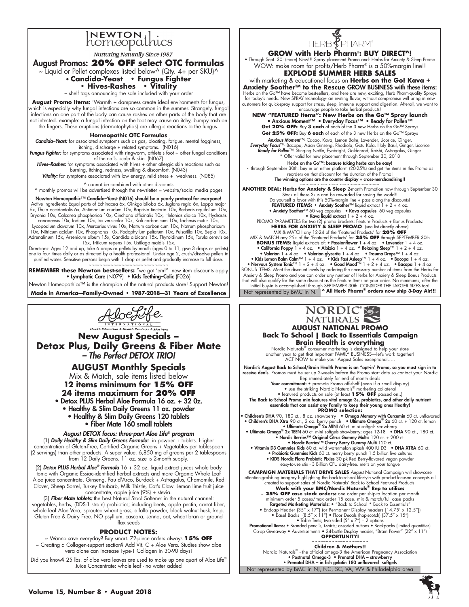# INEWTON thics

Nurturing Naturally Since 1987

# August Promos: **20% OFF select OTC formulas**

~ Liquid or Pellet complexes listed below^ (Qty. 4+ per SKU)^ • **Candida-Yeast • Fungus Fighter** 

**• Hives-Rashes • Vitality** 

~ shelf tags announcing the sale included with your order

**August Promo Items:** 'Warmth + dampness create ideal environments for fungus, which is especially why fungal infections are so common in the summer. Strangely, fungal infections on one part of the body can cause rashes on other parts of the body that are not infected. example: a fungal infection on the foot may cause an itchy, bumpy rash on the fingers. These eruptions (dermatophytids) are allergic reactions to the fungus.

## **Homeopathic OTC Formulas**

*Candida–Yeast:* for associated symptoms such as gas, bloating, fatigue, mental fogginess, itching, discharge + related symptoms. (N016)

*Fungus Fighter:* for symptoms associated with ringworm, athlete's foot + other fungal conditions

of the nails, scalp & skin. (N067)<br>*Hives–Rashes:* for symptoms associated with hives + other allergic skin reactions such as burning, itching, redness, swelling & discomfort. (N043) Vitality: for symptoms associated with low energy, mild stress + weakness. (N085)

^ cannot be combined with other discounts

^ monthly promos will be advertised through the newsletter = website/social media pages

Newton Homeopathic™ Candida–Yeast (N016) should be a yearly protocol for everyone!<br>Active Ingredients: Equal parts of Echinacea 6x, Ginkgo biloba 6x, Juglans regia 6x, Lappa major 6x, Thuja occidentalis 6x, Antimonium crudum 10x, Baptisia tinctoria 10x, Berberis aquifolium 10x,<br>Bryonia 10x, Calcarea phosphorica 10x, Cinchona officinalis 10x, Helonias dioica 10x, Hydrastis<br>canadensis 10x, Iodium 10x,

Lycopodium clavatum 10x, Mercurius vivus 10x, Natrum carbonicum 10x, Natrum phosphoricum 10x, Nitricum acidum 10x, Phosphorus 10x, Podophyllum peltatum 10x, Pulsatilla 10x, Sepia 10x,<br>Adrenalinum 15x, Arsenicum album 15x, Candida albicans 15x, Thyroidinum 15x, Torula cerevisiae<br>Adrenalinum 15x, Arsenicum I5x,

Directions: Ages 12 and up, take 6 drops or pellets by mouth (ages 0 to 11, give 3 drops or pellets) one to four times daily or as directed by a health professional. Under age 2, crush/dissolve pellets in purified water. Sensitive persons begin with 1 drop or pellet and gradually increase to full dose. ~~~~~~~~~~~~~~~~~~~~~~~~~

**REMEMBER these Newton best-sellers:** "we got 'em!" new item discounts apply • Lymphatic Care (N079) • Kids Teething–Colic (F026)

Newton Homeopathics™ is the champion of the natural products store! Support Newton!

**Made in America—Family-Owned • 1987-2018—31 Years of Excellence**



**New August Specials – Detox Plus, Daily Greens & Fiber Mate**  *– The Perfect DETOX TRIO!*

**AUGUST Monthly Specials** 

Mix & Match, sale items listed below **12 items minimum for 15% OFF 24 items maximum for 20% OFF**

• Detox PLUS Herbal Aloe Formula 16 oz. + 32 0z.

• Healthy & Slim Daily Greens 11 oz. powder • Healthy & Slim Daily Greens 120 tablets

• Fiber Mate 160 small tablets

*August DETOX focus: three-part Aloe Life® program* (1) *Daily Healthy & Slim Daily Greens Formula:* in powder + tablets. Higher concentration of Gluten-Free, Certified Organic Greens + Vegetables per tablespoon (2 servings) than other products. A super value. 6,850 mg of greens per 2 tablespoons from 12 Daily Greens. 11 oz. size is 2-month supply.

(2) *Detox PLUS Herbal Aloe® Formula* 16 + 32 oz. liquid extract juices whole body tonic with Organic Essiac-identified herbal extracts and more Organic Whole Leaf Aloe juice concentrate, Ginseng, Pau d'Arco, Burdock + Astragalus, Chamomile, Red Clover, Sheep Sorrel, Turkey Rhubarb, Milk Thistle, Cat's Claw. Lemon lime fruit juice

concentrate, apple juice (9%) + stevia. (3) *Fiber Mate tablets:* the best Natural Stool Softener in the natural channel: vegetables, herbs, (DDS-1 strain) probiotics; including beets, apple pectin, carrot fiber, whole leaf Aloe Vera, sprouted wheat grass, alfalfa powder, black walnut husk, kelp. Gluten Free & Dairy Free. NO psyllium, cascara, senna, oat, wheat bran or ground flax seeds

# **PRODUCT NOTES:**

~ Wanna save everyday? Buy smart. 72-piece orders always **15% OFF** ~ Creating a Collagen-support section? Add Vit. C + Aloe Vera. Studies show aloe vera alone can increase Type-1 Collagen in 30-90 days!

Did you know? 25 lbs. of aloe vera leaves are used to make up one quart of Aloe Life® Juice Concentrate: whole leaf - no water added



**GROW with Herb Pharm**®**: BUY DIRECT^!**

• Through Sept. 30: (more) New!!! Spray placement Promo and: Herbs for Anxiety & Sleep Promo WOW: make room for profits/Herb Pharm® is a 50%-margin line!!

# **EXPLODE SUMMER HERB SALES**

with marketing & educational focus on **Herbs on the Go! Kava + Anxiety Soother™ to the Rescue GROW BUSINESS with these items:**<br>Herbs on the Go™ have become best-sellers, and here are new, exciting, Herb Pharm-quality Sprays have become best-sellers, and here are new, exciting, Herb Pharm-quality Sprays for today's needs. New SPRAY technology- an inviting flavor, without compromise will bring in new customers for quick-spray support for stress, sleep, immune support and digestion. Afterall, we want to encourage people to take herbal products!

**NEW "FEATURED Items": New Herbs on the Go™ Spray launch** • Anxious Moment™ • Everyday Focus™ • Ready for Pollen™ **Get 20% OFF:** Buy **3 each** of each of the 3 new Herbs on the Go™ Sprays **Get 25% OFF:** Buy **6 each** of each of the 3 new Herbs on the Go™ Sprays

*Anxious Moment*™- Cacao, Kava, Lemon Balm, Lavender, Licorice, Ginger. *Everyday Focus*™- Bacopa, Asian Ginseng, Rhodiola, Gotu Kola, Holy Basil, Ginger, Licorice **Ready for Pollen™**- Stinging Nettle, Eyebright, Goldenrod, Reishi, Astragalus, Ginger.<br>\* Offer valid for new placement through September 30, 2018

Her**bs on the Go™: because taking herbs can be easy!**<br>htrough September 30th: buy in on either platform (20-25%) and get the items in this Promo as~ ~ reorders on that discount for the duration of the Promo! The winning options are the counter display + cross-merchandising!!

~~~~~~~~~~~~~~~~~~~~~~~~~~~~~ **ANOTHER DEAL: Herbs for Anxiety & Sleep** 2-month Promotion now through September 30 Stock all these Skus and be rewarded for saving the world!!<br>Do yourself a favor with this 50%-margin line + pass along the discounts!<br>**FEATURED ITEMS: • Anxiety Soother**™ liquid extract 1 + 2 + 4 oz.

• Anxiety Soother<sup>TM</sup> 60 veg capsules • Kava capsules 60 veg capsules<br>PROMO PARAMETERS for two liquid extract 1 + 2 + 4 oz.<br>PROMO PARAMETERS for two (2) promo brackets: Feature Products + Bonus Products:<br>HERBS FOR ANXIETY

**BONUS ITEMS:** liquid extracts of: • Passionflower 1 + 4 oz. • Lavender 1 + 4 oz.

Not represented by BMC in NJ • California Poppy 1 + 4 oz. • Albizia 1 + 4 oz. • Relaxing Sleep™ 1 + 2 + 4 oz.<br>• Valerian 1 + 4 oz. • Valerian glycerite 1 + 4 oz. • Trauma Drops™ 1 + 4 oz.<br>• Kids Lemon Balm Calm™ 1 + 4 oz. • Kids Fast Asleep™ 1 + 4 oz Anxiety & Sleep Promo and you can order any number of Herbs for Anxiety & Sleep Bonus Products that will also qualify for the same discount as the Feature Items on your order. No minimums, after the<br>initial buy-in is accomplished! through SEPTEMBER 30th. CONSIDER THE LARGER SIZES too!<br>Not represented by BMC in NJ \*



**AUGUST NATIONAL PROMO Back To School | Back to Essentials Campaign Brain Health is everything**

Nordic Naturals® consumer marketing is designed to help your store another year to get that important FAMILY BUSINESS—let's work together! ACT NOW to make your August Sales exceptional…..

Nordic's August Back to School/Brain Health Promo is an "opt-in' Promo, so you must sign in to<br>receive deals. Promos must be set up 2-weeks before the Promo start date so contact your Nordic<br>Rep immediately for end of mont

Your commitment: • promote Promo off-shelf {even if a small display} • use the striking Nordic Naturals® marketing collateral • featured products on sale (at least **15% OFF** passed on..)

The Back-to-School Promo mix features vital omega-3s, probiotics, and other daily nutrient essentials that can assist any Family to keep their young ones Heathy! **PROMO selection:**

• Children's DHA 90, 180 ct., 8 oz. strawberry • Omega Memory with Curcumin 60 ct. unflavored<br>• Children's DHA Xtra 90 ct., 2 oz. berry punch • Ultimate Omega<sup>®</sup> 2x 60 ct. + 120 ct. lemon<br>• Ultimate Omega<sup>®</sup> 2x MINI 60

• Ultimate Omega® 2x TEEN 60 ct. mini softgels strawberry; ages 12-18 • DHA 90 ct., 180 ct.<br>• Nordic Berries™ Original Citrus Gummy Multis 120 ct. + 200 ct.<br>• Nordic Berries™ Cherry Berry Gummy Multi 120 ct.

• Vitamin D3 Gummies Kids 60 ct. wild watermelon splash 400 IU D3 • DHA XTRA 60 ct.<br>• Probiotic Gummies Kids 60 ct. merry berry punch 1.5 billion live cultures<br>• KIDS Nordic Flora Probiotic Pixies 30 pk Red Berry-flavore easy-to-use stix - 3 Billion CFU dairy-free. melts on your tongue

**CAMPAIGN MATERIALS THAT DRIVE SALES** August National Campaign will showcase<br>attention-grabbing imagery highlighting the back-to-school lifestyle with product-focused concepts all<br>created to support sales of Nordic Natura

minimum order 5 cases/max order 15 case. mix & match/full case packs<br> **Targeted Marketing Materials: •** "Back to School \* Back to Essentials"<br>
• Endcap Header (35" x 17") (or Permanent Display headers [14.75' x 12.5")<br>
•

Co-op Giveaway • Advertisements • 24-bottle Display header, "Brain Power" (22" x 11") **OPPORTUNITY!** 

Not represented by BMC in NJ, NC, SC, VA, WV & Philadelphia area **Children & Mothers!!** Nordic Naturals® - the official omega-3 the American Pregnancy Association • Postnatal Omega-3 • Prenatal DHA – strawberry • Prenatal DHA – in fish gelatin 180 unflavored softgels

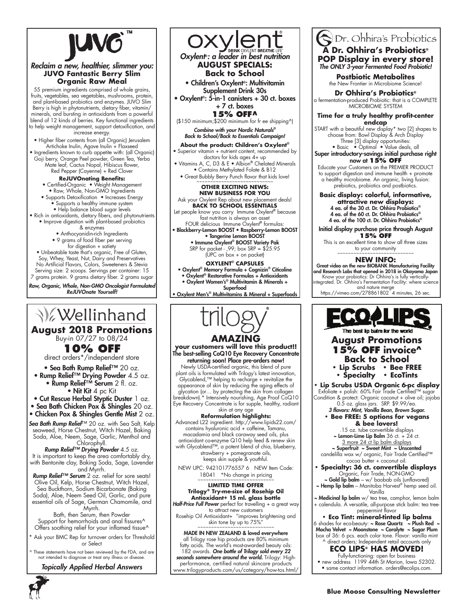

# **PEACE Project JUVO Fantastic Berry Slim Build a Build A** September 1996 *Reclaim a new, healthier, slimmer you:*

op premium ingredients comprised of whole grains,<br>fruits, vegetables, sea vegetables, mushrooms, protein, vegerables, sea vegerables, mosificanis, pro<br>plant-based probiotics and enzymes. JUVO and plant-based probiotics and enzymes. JUVO Slim<br>Berry is high in phytonutrients, dietary fiber, vitamin/ minerals, and bursting in antioxidants from a powerful<br>|to help weight management, support detoxification, and increase energy. 55 premium ingredients comprised of whole grains, Berry is high in phytonutrients, dietary fiber, vitamin/ blend of 12 kinds of berries. Key functional ingredients

• Higher fiber contents from (all Organic) Jerusalem<br>Articlarla India Annus India a Element Artichoke inulin, Agave inulin + Flaxseed

• Ingredients known to curb appetite with: (all Organic) rry, Orange Peel powder, Green Tec rte leat, Cactus Nopal, Hibiscus tlowe<br>Breed Apple Goji berry, Orange Peel powder, Green Tea, Yerba Mate leaf, Cactus Nopal, Hibiscus flower,

rea repper (Cayenne) + Rea Clover<br>**ReJUVOnating Benefits:** Red Pepper (Cayenne) + Red Clover

• Certified-Organic • Weight Management • Raw, Whole, Non-GMO Ingredients<br>—

• Organic Raw Meal packets • Supports a healthy immune system • Supports Detoxification • Increases Energy

• Help balance blood sugar levels

 $\bullet$  Rich in antioxidants, dietary fibers, and phytonutrients • Improve digestion with plant-based probiotics<br>& enzymes

& enzymes

• Anthocyanidin-rich Ingredients

• 9 grams of food fiber per serving

**The best way to**  for digestion + satiety , Unbeatable taste that's organic, Free ot Gluten<br>Soy, Whey, Yeast, Nut, Dairy and Preservatives *Raw, Organic, Whole, Non-GMO*  no Artificial Flavors, Colors, sweeteners & stevia *Oncologist Formulated* serving size: 2 scoops. servings per container: 15 • Unbeatable taste that's organic, Free of Gluten, 7 grams protein. 9 grams dietary fiber. 2 grams sugar

Raw, Organic, Whole, Non-GMO Oncologist Formulated ReJUVOnate Yourself!

# **V**ellinhand

**August 2018 Promotions**<br>**Buy-in 07/27 to 08/24** Buy-in 07/27 to 08/24

**10% OFF Off** 

direct orders\*/independent store

• Sea Bath Rump Relief<sup>™</sup> 20 oz. • Rump Relief™ Drying Powder 4.5 oz. • Rump Relief™ Serum 2 fl. oz. **F Oca Ban Romp Renci** EO OZ. **Search Original Day Reserved Bath Of Bath Of Bath Of Bath Of Bath Of Bath Of Bath Of Bath Of Bath Of Bath Of B** 

• Nit Kit 4 pc Kit **• RUMP Relief <sup>III</sup> Serum** Z fl. OZ.

• **Nit Kit** 4 pc Kit<br>**• Cut Rescue Herbal Styptic Duster** 1 oz.

• Sea Bath Chicken Pox<sup>3</sup> & Shingles 20 oz.

• Chicken Pox & Shingles Gentle Mist 2 oz.

*Sea Bath Rump Relief*™ 20 oz. with Sea Salt, Kelp seaweed, Horse Chestnut, Witch Hazel, Baking Soda, Aloe, Neem, Sage, Garlic, Menthol and  $\frac{1}{2}$ **ea Bath Rump Reliet** \*\* 20 oz. with Sea Salt, Kell seaweed, norse Chesmur, vvirch nazel, baking

Chlorophyll. *Rump Relief™ Drying Powder* 4.5 oz. Poison Oak & Ivy Rescue: the reaction is called **EXTREM CONDUCED 4:3 02:**<br>It is important to keep the area comfortably dry, with Bentonite clay, Baking Soda, Sage, Lavender and Myrrh. with Bernefing clay, Baking Coda, cage, Edverder

**Rump Relief™ Serum** 2 oz. relief for sore seats! Olive Oil, Kelp, Horse Chestnut, Witch Hazel, Sea Buckthorn, Sodium Bicarbonate (Baking Soda), Aloe, Neem Seed Oil, Garlic, and pure essential oils of Sage, German Chamomile, and  $Myrrh.$ 

Bath, then Serum, then Powder Support for hemorrhoids and anal fissures<sup>^</sup> Support tor hemorrhoids and anal tissures^<br>Offers soothing relief for your inflamed tissue^

\* Ask your BMC Rep for turnover orders for Threshold or Select Recommended for the gymnastic state of the contract of the gymnastic state of the bed, the bed, the bed, the bed, the bed, the bed, the state of Salact

A These statements have not been reviewed by the FDA, and are ese sidientents note not been reviewed by the rDA, and not intended to diagnose or treat any illness or disease.

*Topically Applied Herbal Answers Michael's Favorite! Therapy Oil – limitless applications!*



penor vitality + Hollierii content, recommended<br>doctors for kids ages 4+ up • Vitamins A, C, D3 & E • Albion<sup>®</sup> Chelated Minerals • Contains Methylated Folate & B12

• Great Bubbly Berry Punch flavor that kids love! ~~~~~~~~~~~~~~~~~~~~~~~~~~~~ **• Sport Oxylent® Blueberry • SPORT OTHER EXCITING NEWS:** 

# **NEW BUSINESS FOR YOU HEALTHy & HyDRATED**

# Ask your Oxylent Rep about new placement deals!

**BACK TO SCHOOL ESSENTIA** Let people know you carry Immune Oxylent® because **• Staming the Staming of the Staming Starmings (glutamine & Starming Starmings)** 

FOUR delicious Immune Oxylent® formulas: • Blackberry-Lemon BOOST • Raspberry-Lemon BOOST • Tangerine Lemon BOOST

• Immune Oxylent® BOOST Variety Pak **SRP** for packet - ,99; box SRP = \$25.95

(UPC on box  $+$  on packet)

#### **OXYLENT® CAPSUI**

• Oxylent® Memory Formula + Cognizin® Citicoline **Exylent Memory Formula + Cognizin Cincolin**<br>• Oxylent® Restorative Formulas + Antioxidants

• Oxylent Resionalive Formulas + Aniloxidamis<br>• Oxylent Women's® Multivitamin & Minerals +  $Superfood$ 

● Oxylent Men's<sup>®</sup> Multivitamins & Mineral + Superfoods



# **your customers will love this product!! to your community** The best-selling CoQ10 Eye Recovery Concentrate

returning soon! Place pre-orders now! Newly USDA-certified organic, this blend of pure plant oils is formulated with Trilogy's latest innovation, lant oils is formulated with Trilogy's latest innovation,<br>Glycablend,™ helping to recharge + revitalize the appearance of skin by reducing the aging effects of glycation (or… by protecting the skin from collagen glycation (or... by protecting the skin trom collagen<br>breakdown).\* Intensively nourishing, Age Proof CoQ10 Eye Recovery Concentrate is for supple, healthy, radiant skin at any age<sup>1</sup> brightening and swing and swing and top to 15%" .<br>Skin the skin to 25% and separate by up to 75% .

# **Reformulation highlights:**

Advanced L22 ingredient. http://www.lipids22.com/ contains hyaluronic acid + caffeine, Tamanu, macadamia and black caraway seed oils, plus  $\qquad \qquad \mid$ antioxidant co-enzyme Q10 help feed & renew skin with Glycablend™, a potent blend of chia, blueberry, strawberry + pomegranate oils, keeps skin supple & youthful.

NEW UPC: 942101776557 6 NEW Item Code: 18041 \*No change in pricing

#### ~~~~~~~~~~~~~~~~~~~~~~~~~~~~ **LIMITED TIME OFFER** (http://www.lipids22.com). Contains hyaluronic acid Trilogy® Try-me-size of Rosehip Oil Antioxidant+ 15 ml. glass bottle **seed and the** reformulation highlights: Advanced l22 in privilights: Advanced l22 in privilights: Advanced l22 in priviligh

Half-Price Full Power perfect for travelling + a great way to attract new customers

Rosehip Oil Antioxidant+ "improves brightening and skin tone by up to 75%"

محمد محمد محمد المسلم بين محمد محمد من العام العام المسلم العام العام المسلم العام العام العام العام<br>MADE IN NEW ZEALAND & loved everywhere all Trilogy rose hip products are 80% minimum all Trilogy rose hip products are 80% minimum<br>fatty acids. The world's most-awarded beauty oils: 182 awards. *One bottle of Trilogy sold every 22*  182 awards. **One bottle of Trilogy sold every 22**<br>**seconds somewhere around the world.** Trilogy: Highperformance, certified natural skincare products www.trilogyproducts.com/us/category/how-tos.html/ *somewhere around the world* EW ZEALAND & loved ls. The world's most-awarded be<mark>c</mark>

# Or. Ohhira's Probiotics **A Dr. Ohhira's Probiotics® POP Display in every store!** The ONLY 3-year Fermented Food Probiotic!

**Postbiotic Metabolites** the New Frontier in Microbiome Science!

**Dr Ohhira's Probiotics®** a fermentation-produced Probiotic: that is a COMPLI MICROBIOME SYSTEM **Dr Ohhira's Probiotics** ed Frobiolic.<br>OBIOME SYS

#### **Time for a truly healthy profit-center endcap** or a truiy neaithy protit-d

**enacap**<br>START with a beautiful new display\* two [2] shapes to wim a beaumor new aisplay liwo [z] shap<br>choose from: Bowl Display & Arch Display Three [3] display opportunities: Encose from: bowl bisplay a *Titel Bisplay*<br>Three [3] display opportunities:

• Basic • Optimal • Value deals, all **Optimal** • Valu

#### Super introductory-savings initial purchase right roductory-savings initial purche<br>now at **15% OFF**  $\mathsf{row}$  at 15% OFF

Educate your Customers on the PREMIER PRODUCT to support digestion and immune health + promote a healthy microbiome. An organic, living fusion: prebiotics, probiotics and postbiotics.

**Basic display: colorful, informative,** attractive new displays: 4 ea. of the 30 ct. Dr. Ohhira Probiotics® 4 ea. of the 100 ct. Dr. ohhira Probiotics®

4 ea. of the 60 ct. Dr. Ohhira Probiotics® **New Packaging:** the original trusted 4 ea. of the 100 ct. Dr. Ohhira Probiotics®

Initial display purchase price through August **15% OFF** 

This is an excellent time to show all three sizes to your community ~~~~~~~~~~~~~~~~~~~~~~~~~~~~ **EQUALLy INNOVATIVE + ESSENTIAL**

# **NEW INFO:**

Great video on the new BIOBANK Manufacturing Facility and Research Labs that opened in 2018 in Okayama Japan Know your probiotics: Dr Ohhira's is fully vertically-integrated. Dr. Ohhira's Fermentation Facility: where science and nature merge https://vimeo.com/278861802 4 minutes, 26 sec. Register Detox Penned in 2018 in Okay<br>Det orthodox De Obbirg's is fully vo perfection of any two-conditions. By any two-conditions of the Vietnam of the Condition of the Condition of the Condition of the Condition of the Condition of the Condition of the Condition of the Condition of the Conditio



# **August Promotions 15% OFF** invoice<sup>^</sup> **Back to School 15% Off invoice • Lip Scrubs • Bee FREE MONGO KISS™**

• Specialty • EcoTints<br>ander USDA Ontario 6 no.

**• Lip Scrubs USDA Organic 6-pc display**  Exfoliate + polish: 60% Fair Trade Certified™ sugar Condition & protect: Organic coconut + olive oil; jojoba 0.5 oz. glass jars. SRP. \$9.99/ea. **15 Condition & protect: Organic coconut + olive oil; jojobor .**<br>0.5 oz. alass jars . SRP \$9.99/eq

**3 flavors: Mint, Vanilla Bean, Brown Sugar. • Bee FREE: 5 options for vegans Ex Dephonent** 

**EXECTOVETS:**<br>15 oz. tube convertible displays  $\sim$  Lemon-Lime Lip Balm 36 ct.  $+24$  ct.

 $\frac{3 \text{ more } 24 \text{ ct lip ball m displays}}{3 \text{ upperfruit ~ Sweet Mint ~ Unscented}}$ <u>3 more 24 ct lip balm displays</u><br>Not the Superfruit company to use and the superfruit and an organic and an organic superfusive and an organic s

candelilla wax w/ organic, Fair Trade Certified™ cocoa butter + coconut oil. • Specialty: 36 ct. convertible displays

Organic, Fair Trade, NON-GMO ~ Gold lip balm - w/ baobab oils (unflavored)

~ Hemp lip balm – Manitoba Harvest® hemp seed oil. **15-pc. convertible Mongo Kiss™ displays**  Vanilla **.26 oz. tubes**

~ Medicinal lip balm w/ tea tree, camphor, lemon balm + calendula. A versatile, all-purpose stick balm: tea treepeppermint flavor

**• Eco Tint: mineral-tinted lip balms** *\*Also available in 12-pc. Mongo Kiss™ hanging cartons*  6 shades for eco-beauty: ~ Rose Quartz ~ Plush Red ~ *.26 oz. tubes* Mocha Velvet ~ Moonstone ~ Coralyte ~ Sugar Plum box of 36: 6 pcs. each color tone. Flavor: vanilla mint A direct orders; Independent retail accounts only

**ECO LIPS® HAS MOVED! THE WALK OF THE WALKER IS NO** 

Fully-functioning: open for business • new address 1199 44th St Marion, Iowa 52302. new address 1199 44th st Marion, iowa 52302 • same contact information. orders@ecolips.com.

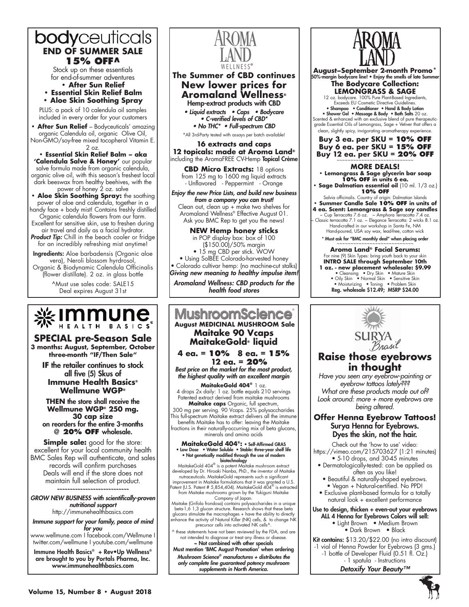

Stock up on these essentials for end-of-summer adventures **• After Sun Relief**

**• Essential Skin Relief Balm**

**• Aloe Skin Soothing Spray**

PLUS: a pack of 10 calendula oil samples included in every order for your customers

**After Sun Relief** - Bodyceuticals' amazing organic Calendula oil, organic Olive Oil, Non-GMO/soy-free mixed tocopherol Vitamin E. 2 oz.

**• Essential Skin Relief Balm – aka 'Calendula Salve & Honey'** our popular salve formula made from organic calendula, organic olive oil, with this season's freshest local dark beeswax from healthy beehives, with the power of honey 2 oz. salve

**• Aloe Skin Soothing Spray:** the soothing power of aloe and calendula, together in a

handy face + body mist! Contains freshly distilled Organic calendula flowers from our farm. Excellent for sensitive skin, use to freshen during

air travel and daily as a facial hydrator. Product Tip: Chill in the beach cooler or fridge for an incredibly refreshing mist anytime!

Ingredients: Aloe barbadensis (Organic aloe vera), Neroli blossom hyrdrosol, Organic & Biodynamic Calendula Officinalis

(flower distillate). 2 oz. in glass bottle

^Must use sales code: SALE15 Deal expires August 31st



**SPECIAL pre-Season Sale**

**3 months: August, September, October three-month "IF/Then Sale"**

**IF** the retailer continues to stock all five (5) Skus of **Immune Health Basics® Wellmune WGP®**

**THEN** the store shall receive the **Wellmune WGP® 250 mg. 30 cap size** on reorders for the entire 3-months @ **20% OFF** wholesale.

**Simple sale:** good for the store: excellent for your local community health BMC Sales Rep will authenticate, and sales records will confirm purchases Deals will end if the store does not maintain full selection of product.

*~~~~~~~~~~~~~~~~~~~~~~~~~~~~ GROW NEW BUSINESS with scientifically-proven nutritional support*

http://immunehealthbasics.com *Immune support for your family, peace of mind* 

*for you* www.wellmune.com I facebook.com/Wellmune I

twitter.com/wellmune I youtube.com/wellmune Immune Health Basics® + Rev•Up Wellness® are brought to you by Portals Pharma, Inc. www.immunehealthbasics.com



# **The Summer of CBD continues New lower prices for Aromaland Wellness®** Hemp-extract products with CBD

• Liquid extracts • Caps • Bodycare • C-verified levels of CBD\* • No THC\* • Full-spectrum CBD

\*All 3rd-Party tested with assays per batch available!

**16 extracts and caps 12 topicals: made at Aroma Land®** ncluding the AromaFREE CV-Hemp Topical Crème

**CBD Micro Extracts:** 18 options from 125 mg to 1600 mg liquid extracts - Unflavored - Peppermint - Orange

*Enjoy the new Price Lists, and build new business* 

*from a company you can trust!* Clean out, clean up + make two shelves for Aromaland Wellness® Effective August 01. Ask you BMC Rep to get you the news!

**NEW Hemp honey sticks** in POP display box: box of 100 (\$150.00)/50% margin • 15 mg CBD per stick. WOW • Using SolBEE Colorado-harvested honey • Colorado cultivar hemp: (no machine-cut stalks) *Giving new meaning to healthy impulse item!*

*Aromaland Wellness: CBD products for the health food stores*

# **MushroomScience August MEDICINAL MUSHROOM Sale Maitake 90 Vcaps MaitakeGold® liquid**

# **4 ea. = 10% 8 ea. = 15% 12 ea. = 20%**

*Best price on the market for the most product, the highest quality with an excellent margin*

**MaitakeGold 404®** 1 oz. 4 drops 2x daily: 1 oz. bottle equals 210 servings Patented extract derived from maitake mushrooms

**Maitake caps** Organic, full spectrum, 300 mg per serving. 90 Vcaps. 25% polysaccharides This full-spectrum Maitake extract delivers all the immune benefits Maitake has to offer: leaving the Maitake fractions in their naturally-occurring mix of beta glucans, minerals and amino acids

# **MaitakeGold 404®:** • Self-Affirmed GRAS • Low Dose • Water Soluble • Stable: three-year shelf life • Not genetically modified through the use of modern

**biotechnology<br>MaitakeGold 404® is a potent Maitake mushroom extract** developed by Dr. Hiroaki Nanba, PhD., the inventor of Maitake nutraceuticals. MaitakeGold represents such a significant improvement in Maitake formulations that it was granted a U.S. Patent (U.S. Patent # 5,854,404). MaitakeGold 404® is extracted

from Maitake mushrooms grown by the Yukiguni Maitake Company of Japan.

Maitake (Grifola frondosa) contains polysaccharides in a unique<br>beta-1,6 1,3 glucan structure. Research shows that these beta<br>glucans stimulate the macrophages + have the ability to directly<br>glucans stimulate the macrophag precursor cells into activated NK cells^.

these statements have not been reviewed by the FDA, and are not intended to diagnose or treat any illness or disease.<br>
~ Not combined with other specials

Must mention 'BMC August Promotion' when ordering *Mushroom Science® manufactures + distributes the only complete line guaranteed potency mushroom supplements in North America.* 



**August–September 2-month Promo\*** 50%-margin bodycare line! • Enjoy the smells of late Summer **The Bodycare Collection: LEMONGRASS & SAGE** 12 oz. bodycare. 100% Pure Plant-Based Ingredients, Exceeds EU Cosmetic Directive Guidelines. • Shampoo • Conditioner • Hand & Body Lotion • Shower Gel • Massage & Body • Bath Salts 20 oz. Scented & enhanced with an exclusive blend of pure therapeuticgrade Essential Oils of Lemongrass, Sage + Vetiver that offers a clean, slightly spicy, invigorating aromatherapy experience. **Buy 3 ea. per SKU = 10% OFF Buy 6 ea. per SKU = 15% OFF Buy 12 ea. per SKU = 20% OFF More deals! • Lemongrass & Sage glycerin bar soap 10% OFF in units 6 ea. • Sage Dalmatian essential oil** (10 ml. 1/3 oz.) **10% OFF** Salvia officinalis. Country of origin: Dalmatian Islands **• Summer Candle Sale 10% Off in units of 4 ea. Scent: Lemongrass & Sage soy candles**

~ Cup Terracotta 7.6 oz. ~ Amphora Terracotta 7.4 oz. ~ Classic terracotta 7.1 oz. ~ Elegance Terracotta: 2 wicks 8.1 oz. Hand-crafted in our workshop in Santa Fe, NM Hand-poured, USA soy wax, lead-free, cotton wick \* Must ask for "BMC monthly deal" when placing order

~~~~~~~~~~~~~~~~~~~~~~~~~ **Aroma Land® Facial Serums:**  For nine (9) Skin Types: bring youth back to your skin **INTRO SALE through September 10th 1 oz. - new placement wholesale: \$9.99**<br>• Cleansing • Dry Skin • Mature Skin<br>• Oily Skin • Normal Skin • Sensitive Skin<br>• Moisturizing • Toning • Problem Skin<br>Reg. wholesale \$12.49; MSRP \$24.00



# **Raise those eyebrows in thought** *Have you seen any eyebrow-painting or*

*eyebrow tattoos lately??? What are these products made out of? Look around: more + more eyebrows are being altered.*

# **Offer Henna Eyebrow Tattoos!** Surya Henna for Eyebrows. Dyes the skin, not the hair.

Check out the 'how to use' video: https://vimeo.com/215703627 (1:21 minutes)

- 5-10 drops, and 30-45 minutes • Dermatologically-tested: can be applied as often as you like!
	- Beautiful & naturally-shaped eyebrows. • Vegan + Natural-certified. No PPD!
- Exclusive plant-based formula for a totally natural look + excellent performance

Use to design, thicken + even-out your eyebrows ALL 4 Henna for Eyebrows Colors will sell:

• Light Brown • Medium Brown • Dark Brown • Black

Kit contains: \$13.20/\$22.00 (no intro discount) -1 vial of Henna Powder for Eyebrows (3 gms.) -1 bottle of Developer Fluid (0.51 fl. Oz.) - 1 spatula - Instructions

*Detoxify Your Beauty™*

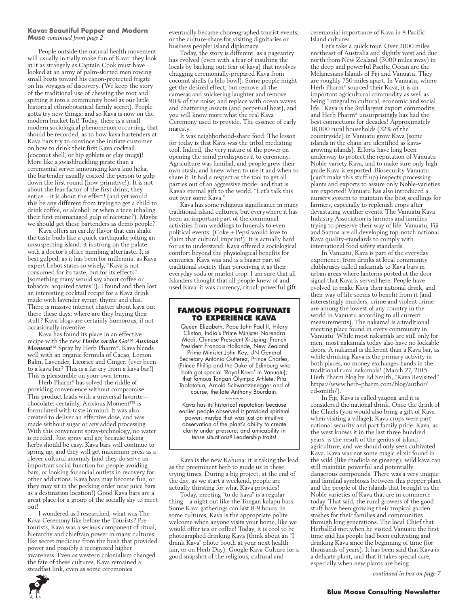#### **Kava: Beautiful Pepper and Modern Muse** *continued from page 2*

People outside the natural health movement will usually initially make fun of Kava: they look at it as strangely as Captain Cook must have looked at an army of palm-skirted men rowing small boats toward his canon-protected frigate on his voyages of discovery. (We keep the story of the traditional use of chewing the root and spitting it into a community bowl as our little historical ethnobotanical family secret). People gotta try new things: and so Kava is now on the modern bucket list! Today, there is a small modern sociological phenomenon occurring, that should be recorded, as to how kava bartenders at Kava bars try to convince the initiate customer on how to drink their first Kava cocktail (coconut shell, or hip goblets or clay mugs)! More like a swashbuckling pirate than a ceremonial server announcing kava kuo heka, the bartender usually coaxed the person to gulp down the first round (how primitive!). It is not about the fear factor of the first drink, they entice—it is about the effect! (and yet would this be any different from trying to get a child to drink coffee, or alcohol; or when a teen inhaling their first mismanaged gulp of nicotine?). Maybe we should get these bartenders as demo people?

Kava offers an earthy flavor that can shake the taste buds like a quick earthquake jolting an unsuspecting island: it is strong on the palate with a doctor's office numbing aftertaste. It is best gulped, as it has been for millennia: as Kava expert Lebot states so wisely, "Kava is not consumed for its taste, but for its effects" (something many would say about coffee or tobacco: acquired tastes!!). I found and then lost an interesting cocktail recipe for a Kava drink made with lavender syrup, thyme and chai. There is massive internet chatter about kava out there these days: where are they buying their stuff? Kava blogs are certainly humorous, if not occasionally inventive.

Kava has found its place in an effective recipe with the new *Herbs on the Go™ Anxious Moment*™ Spray by Herb Pharm®. Kava blends well with an organic formula of Cacao, Lemon Balm, Lavender, Licorice and Ginger. (ever been to a kava bar? This is a far cry from a kava bar!) This is pleasurable on your own terms.

Herb Pharm® has solved the riddle of providing convenience without compromise. This product leads with a universal favorite chocolate: certainly, Anxious Moment™ is formulated with taste in mind. It was also created to deliver an effective dose, and was made without sugar or any added processing. With this convenient spray-technology, no water is needed. Just spray and go; because taking herbs should be easy. Kava bars will continue to spring up, and they will get maximum press as a clever cultural anomaly (and they do serve an important social function for people avoiding bars, or looking for social outlets in recovery for other addictions. Kava bars may become fun, or they may sit in the pecking order near juice bars as a destination location!) Good Kava bars are a great place for a group of the socially shy to meet out!

I wondered as I researched, what was The Kava Ceremony like before the Tourists? Pretourists, Kava was a serious component of ritual, hierarchy and chieftain power in many cultures: like secret medicine from the bush that provided power and possibly a recognized higher awareness. Even as western colonialism changed the fate of these cultures, Kava remained a steadfast link, even as some ceremonies

eventually became choreographed tourist events; or the culture-share for visiting dignitaries or business people: island diplomacy.

Today, the story is different, as a pageantry has evolved (even with a fear of insulting the locals by backing out: fear of kava) that involves chugging ceremonially-prepared Kava from coconut shells (a bilo bowl). Some people might get the desired effect; but remove all the cameras and snickering laughter and remove 90% of the noise; and replace with ocean waves and chattering insects (and perpetual heat), and you will know more what the real Kava Ceremony used to provide. The essence of early majesty.

It was neighborhood-share food. The lesson for today is that Kava was the tribal mediating tool. Indeed, the very nature of the power on opening the mind predisposes it to ceremony. Agriculture was familial, and people grew their own stash, and knew when to use it and when to share it. It had a respect as the tool to get all parties out of an aggressive mode: and that is Kava's eternal gift to the world. "Let's talk this out over some Kava."

Kava has some religious significance in many traditional island cultures, but everywhere it has been an important part of the communal activities from weddings to funerals to even political events. (Coke + Pepsi would love to claim that cultural imprint!). It is actually hard for us to understand: Kava offered a sociological comfort beyond the physiological benefits for centuries. Kava was and is a bigger part of traditional society than perceiving it as their everyday soda or market crop. I am sure that all Islanders thought that all people knew of and used Kava: it was currency, ritual, powerful gift.

# **Famous people fortunate to experience Kava**

Queen Elizabeth, Pope John Paul II, Hilary Clinton, India's Prime Minister Narendra Modi, Chinese President Xi Jiping, French President Francois Hollande, New Zealand Prime Minister John Key, UN General Secretary Antonio Gutterez, Prince Charles, (Prince Phillip and the Duke of Edinburg who both got special 'Royal Kava' in Vanuatu); that famous Tongan Olympic Athlete, Pita Taofatofua, Arnold Schwartzenegger and of course, the late Anthony Bourdain.

~~~~~ Kava has its historical reputation because earlier people observed it provided spiritual power: maybe that was just an intuitive observation of the plant's ability to create clarity under pressure; and amicability in tense situations? Leadership traits!

Kava is the new Kahuna: it is taking the lead as the preeminent herb to guide us in these trying times. During a big project, at the end of the day, as we start a weekend, people are actually thirsting for what Kava provides!

Today, meeting "to do kava" is a regular thing—a night out like the Tongan kalapu bars. Some Kava gatherings can last 8-9 hours. In some cultures, Kava is the appropriate polite welcome when anyone visits your home, like we would offer tea or coffee! Today, it is cool to be photographed drinking Kava (think about an "I drank Kava" photo booth at your next health fair, or on Herb Day). Google Kava Culture for a good snapshot of the religious, cultural and

ceremonial importance of Kava in 8 Pacific Island cultures.

Let's take a quick tour. Over 2000 miles northeast of Australia and slightly west and due north from New Zealand (3000 miles away) in the deep and powerful Pacific Ocean are the Melanesians Islands of Fiji and Vanuatu. They are roughly 750 miles apart. In Vanuatu, where Herb Pharm® sourced their Kava, it is an important agricultural commodity as well as being "integral to cultural, economic and social life." Kava is the 3rd largest export commodity, and Herb Pharm® unsurprisingly has had the best connections for decades! Approximately 18,000 rural households (32% of the countryside) in Vanuatu grow Kava (some islands in the chain are identified as kavagrowing islands). Efforts have long been underway to protect the reputation of Vanuatu Noble-variety Kava, and to make sure only highgrade Kava is exported. Biosecurity Vanuatu (can't make this stuff up) inspects processingplants and exports to assure only Noble-varieties are exported! Vanuatu has also introduced a nursery system to maintain the best seedlings for farmers, especially to replenish crops after devastating weather events. The Vanuatu Kava Industry Association is farmers and families trying to preserve their way of life. Vanuatu, Fiji and Samoa are all developing top-notch national Kava quality-standards to comply with international food safety standards.

In Vanuatu, Kava is part of the everyday experience, from drinks at local community clubhouses called nakamals to Kava bars in urban areas where lanterns posted at the door signal that Kava is served here. People have evolved to make Kava their national drink, and their way of life seems to benefit from it (and interestingly murders, crime and violent crime are among the lowest of any country in the world in Vanuatu according to all current measurements). The nakamal is a traditional meeting place found in every community in Vanuatu. While most nakamals are still only for men, most nakamals today also have no lockable doors. A nakamal is different than a Kava bar, as while drinking Kava is the primary activity in both places, no money exchanges hands in the traditional rural nakamals! (March 27, 2015 Herb Pharm blog by Ed Smith, "Kava Revisited" https://www.herb-pharm.com/blog/author/ ed-smith/).

In Fiji, Kava is called yaqona and it is considered the national drink. Once the drink of the Chiefs (you would also bring a gift of Kava when visiting a village), Kava crops were part national security and part family pride. Kava, as the west knows it in the last three hundred years. is the result of the genius of island agriculture, and we should only seek cultivated Kava. Kava was not some magic elixir found in the wild (like rhodiola or ginseng); wild kava can still maintain powerful and potentially dangerous compounds. There was a very unique and familial symbiosis between this pepper plant and the people of the islands that brought us the Noble varieties of Kava that are in commerce today. That said, the rural growers of the good stuff have been growing their tropical garden stashes for their families and communities through long generations. The local Chief that HerbalEd met when he visited Vanuatu the first time said his people had been cultivating and drinking Kava since the beginning of time (for thousands of years). It has been said that Kava is a delicate plant, and that it takes special care, especially when new plants are being

*continued in box on page 7*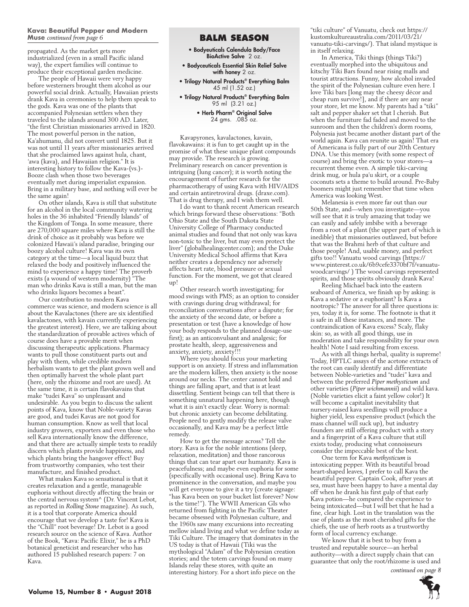#### **Kava: Beautiful Pepper and Modern Muse continued from page 6 BALM SEASON**

propagated. As the market gets more industrialized (even in a small Pacific island way), the expert families will continue to produce their exceptional garden medicine.

The people of Hawaii were very happy before westerners brought them alcohol as our powerful social drink. Actually, Hawaiian priests drank Kava in ceremonies to help them speak to the gods. Kava was one of the plants that accompanied Polynesian settlers when they traveled to the islands around 300 AD. Later, "the first Christian missionaries arrived in 1820. The most powerful person in the nation, Ka'ahumanu, did not convert until 1825. But it was not until 11 years after missionaries arrived that she proclaimed laws against hula, chant, 'awa (kava), and Hawaiian religion." It is interesting history to follow the Kava-(vs.)- Booze clash when those two beverages eventually met during imperialist expansion. Bring in a military base, and nothing will ever be the same again!

On other islands, Kava is still that substitute for an alcohol in the local community watering holes in the 36 inhabited "Friendly Islands" of the Kingdom of Tonga. In some measure, there are 270,000 square miles where Kava is still the drink of choice as it probably was before we colonized Hawaii's island paradise, bringing our boozy alcohol culture! Kava was its own category at the time—a local liquid buzz that relaxed the body and positively influenced the mind to experience a happy time! The proverb exists (a wound of western modernity) "The man who drinks Kava is still a man, but the man who drinks liquors becomes a beast".

Our contribution to modern Kava commerce was science, and modern science is all about the Kavalactones (there are six identified kavalactones, with kavain currently experiencing the greatest interest). Here, we are talking about the standardization of provable actives which of course does have a provable merit when discussing therapeutic applications. Pharmacy wants to pull those constituent parts out and play with them, while credible modern herbalism wants to get the plant grown well and then optimally harvest the whole plant part (here, only the rhizome and root are used). At the same time, it is certain flavokavains that make "tudei Kava" so unpleasant and undesirable. As you begin to discuss the salient points of Kava, know that Noble-variety Kavas are good, and tudei Kavas are not good for human consumption. Know as well that local industry growers, exporters and even those who sell Kava internationally know the difference, and that there are actually simple tests to readily discern which plants provide happiness, and which plants bring the hangover effect! Buy from trustworthy companies, who test their manufacture, and finished product.

What makes Kava so sensational is that it creates relaxation and a gentle, manageable euphoria without directly affecting the brain or the central nervous system^ (Dr. Vincent Lebot, as reported in *Rolling Stone* magazine). As such, it is a tool that corporate America should encourage that we develop a taste for! Kava is the "Chill" root beverage! Dr. Lebot is a good research source on the science of Kava. Author of the Book, "Kava: Pacific Elixir," he is a PhD botanical geneticist and researcher who has authored 15 published research papers: 7 on Kava.

- Bodyeuticals Calendula Body/Face BioActive Salve 2 oz.
- Bodyceuticals Essential Skin Relief Salve with honey 2 oz.
- Trilogy Natural Products® Everything Balm 45 ml (1.52 oz.)
- Trilogy Natural Products® Everything Balm 95 ml (3.21 oz.)

## • Herb Pharm® Original Salve 24 gms. .085 oz.

Kavapyrones, kavalactones, kavain, flavokawains: it is fun to get caught up in the promise of what these unique plant compounds may provide. The research is growing. Preliminary research on cancer prevention is intriguing (lung cancer); it is worth noting the encouragement of further research for the pharmacotherapy of using Kava with HIV/AIDS and certain antiretroviral drugs. (draxe.com). That is drug therapy, and I wish them well.

I do want to thank recent American research which brings forward these observations: "Both Ohio State and the South Dakota State University College of Pharmacy conducted animal studies and found that not only was kava non-toxic to the liver, but may even protect the liver" (globalhealingcenter.com); and the Duke University Medical School affirms that Kava neither creates a dependency nor adversely affects heart rate, blood pressure or sexual function. For the moment, we got that cleared up!

Other research worth investigating; for mood swings with PMS; as an option to consider with cravings during drug withdrawal; for reconciliation conversations after a dispute; for the anxiety of the second date, or before a presentation or test (have a knowledge of how your body responds to the planned dosage-use first); as an anticonvulsant and analgesic; for prostate health, sleep, aggressiveness and anxiety, anxiety, anxiety!!!

Where you should focus your marketing support is on anxiety. If stress and inflammation are the modern killers, then anxiety is the noose around our necks. The center cannot hold and things are falling apart, and that is at least dissettling. Sentient beings can tell that there is something unnatural happening here, though what it is ain't exactly clear. Worry is normal: but chronic anxiety can become debilitating. People need to gently modify the release valve occasionally, and Kava may be a perfect little remedy.

How to get the message across? Tell the story. Kava is for the noble intentions (sleep, relaxation, meditation) and those rancorous things that can tear apart our humanity. Kava is peacefulness; and maybe even euphoria for some (specifically with occasional use). Bring Kava to prominence in the conversation, and maybe you will get everyone to give it a try (create signage: "has Kava been on your bucket list forever? Now is the time!"). The WWII American GIs who returned from fighting in the Pacific Theater became obsessed with Polynesian culture, and the 1960s saw many excursions into recreating mellow island living and what we define today as Tiki Culture. The imagery that dominates in the US today is that of Hawaii (Tiki was the mythological "Adam" of the Polynesian creation stories; and the totem carvings found on many Islands relay these stores, with quite an interesting history. For a short info piece on the

"tiki culture" of Vanuatu, check out https:// kustomkultureaustralia.com/2011/03/21/ vanuatu-tiki-carvings/). That island mystique is in itself relaxing.

In America, Tiki things (things Tiki?) eventually morphed into the ubiquitous and kitschy Tiki Bars found near rising malls and tourist attractions. Funny, how alcohol invaded the spirit of the Polynesian culture even here. I love Tiki bars [long may the cheesy décor and cheap rum survive!], and if there are any near your store, let me know. My parents had a "tiki" salt and pepper shaker set that I cherish. But when the furniture fad faded and moved to the sunroom and then the children's dorm rooms, Polynesia just became another distant part of the world again. Kava can reunite us again! That era of Americana is fully part of our 20th Century DNA. Use this memory (with some respect of course) and bring the exotic to your stores—a recurrent theme even. A simple tiki-carving drink mug, or hula pa'u skirt, or a couple coconuts sets a theme to build around. Pre-Baby boomers might just remember that time when America was looking West.

Melanesia is even more far out than our 50th State, and—when you investigate—you will see that it is truly amazing that today we can easily and safely imbibe with a beverage from a root of a plant (the upper part of which is inedible) that missionaries outlawed, but before that was the Brahmi herb of that culture and those people! And, usable money, and perfect gifts too!! Vanuatu wood carvings (https:// www.pinterest.co.uk/6b9cefe3370bf7f/vanuatuwoodcarvings/ ) The wood carvings represented spirits, and those spirits obviously drank Kava!

Reeling Michael back into the eastern seaboard of America, we finish up by asking: is Kava a sedative or a euphoriant? Is Kava a nootropic? The answer for all three questions is: yes, today it is, for some. The footnote is that it is safe in all these instances, and more. The contraindication of Kava excess? Scaly, flaky skin: so, as with all good things, use in moderation and take responsibility for your own health! Note I said resulting from excess.

As with all things herbal, quality is supreme! Today, HPTLC assays of the acetone extracts of the root can easily identify and differentiate between Noble-varieties and "tudei" kava and between the preferred *Piper methysticum* and other varieties (*Piper wichmannii*) and wild kava. (Noble varieties elicit a faint yellow color!) It will become a capitalist inevitability that nursery-raised kava seedlings will produce a higher yield, less expensive product (which the mass channel will suck up), but industry founders are still offering product with a story and a fingerprint of a Kava culture that still exists today, producing what connoisseurs consider the impeccable best of the best.

One term for Kava *methysticum* is intoxicating pepper. With its beautiful broad heart-shaped leaves, I prefer to call Kava the beautiful pepper. Captain Cook, after years at sea, must have been happy to have a mental day off when he drank his first gulp of that early Kava potion—he compared the experience to being intoxicated—but I will bet that he had a fine, clear high. Lost in the translation was the use of plants as the most cherished gifts for the chiefs, the use of herb roots as a trustworthy form of local currency exchange.

We know that it is best to buy from a trusted and reputable source—an herbal authority—with a direct supply chain that can guarantee that only the root/rhizome is used and

 *continued on page 8*